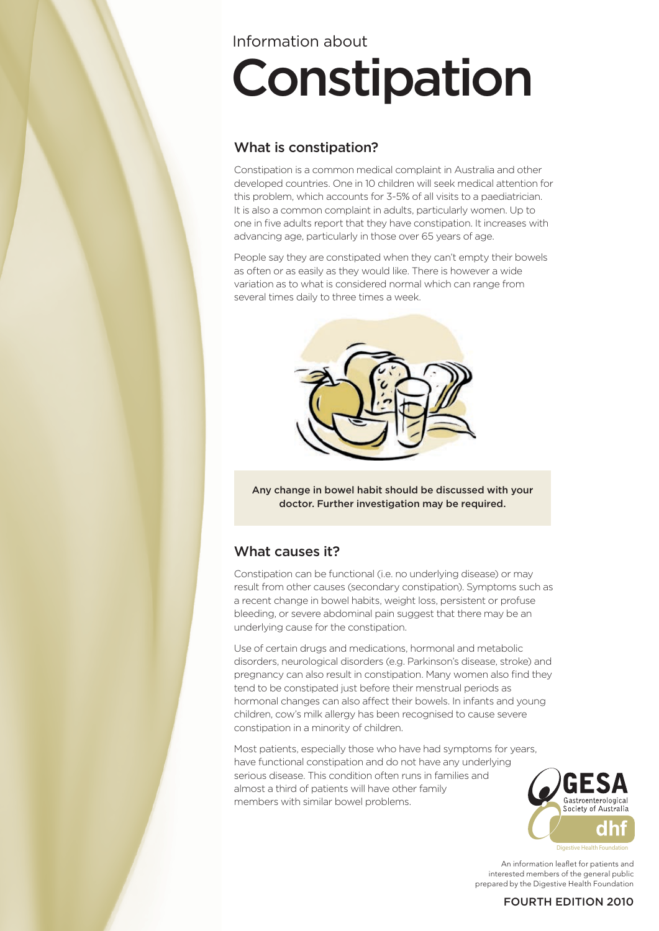# Information about

# Constipation

# What is constipation?

Constipation is a common medical complaint in Australia and other developed countries. One in 10 children will seek medical attention for this problem, which accounts for 3-5% of all visits to a paediatrician. It is also a common complaint in adults, particularly women. Up to one in five adults report that they have constipation. It increases with advancing age, particularly in those over 65 years of age.

People say they are constipated when they can't empty their bowels as often or as easily as they would like. There is however a wide variation as to what is considered normal which can range from several times daily to three times a week.



Any change in bowel habit should be discussed with your doctor. Further investigation may be required.

## What causes it?

Constipation can be functional (i.e. no underlying disease) or may result from other causes (secondary constipation). Symptoms such as a recent change in bowel habits, weight loss, persistent or profuse bleeding, or severe abdominal pain suggest that there may be an underlying cause for the constipation.

Use of certain drugs and medications, hormonal and metabolic disorders, neurological disorders (e.g. Parkinson's disease, stroke) and pregnancy can also result in constipation. Many women also find they tend to be constipated just before their menstrual periods as hormonal changes can also affect their bowels. In infants and young children, cow's milk allergy has been recognised to cause severe constipation in a minority of children.

Most patients, especially those who have had symptoms for years, have functional constipation and do not have any underlying serious disease. This condition often runs in families and almost a third of patients will have other family members with similar bowel problems.



An information leaflet for patients and interested members of the general public prepared by the Digestive Health Foundation

## FOURTH EDITION 2010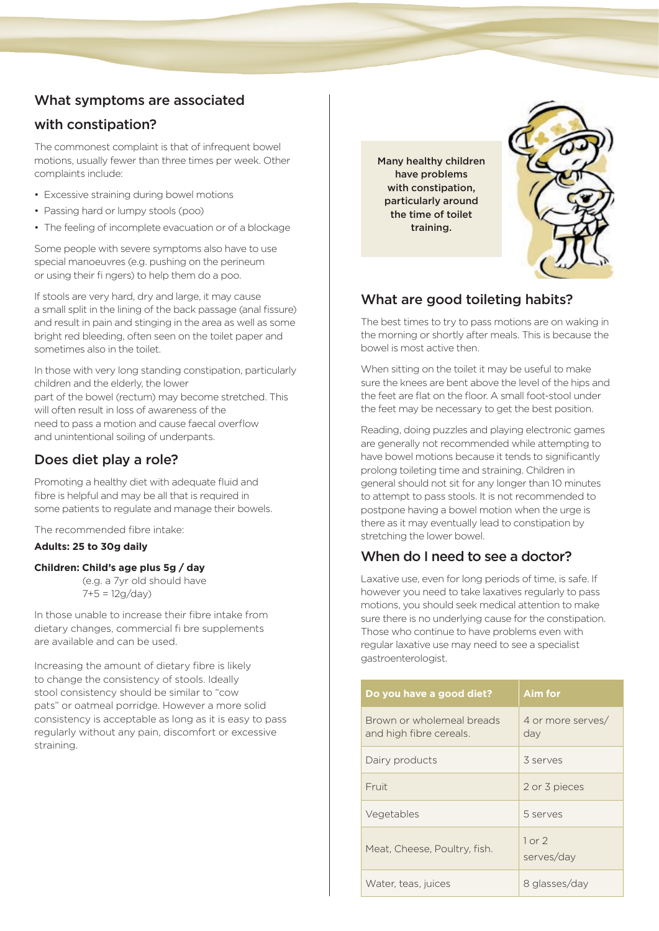# What symptoms are associated

## with constipation?

The commonest complaint is that of infrequent bowel motions, usually fewer than three times per week. Other complaints include:

- Excessive straining during bowel motions
- Passing hard or lumpy stools (poo)
- The feeling of incomplete evacuation or of a blockage

Some people with severe symptoms also have to use special manoeuvres (e.g. pushing on the perineum or using their fi ngers) to help them do a poo.

If stools are very hard, dry and large, it may cause a small split in the lining of the back passage (anal fissure) and result in pain and stinging in the area as well as some bright red bleeding, often seen on the toilet paper and sometimes also in the toilet.

In those with very long standing constipation, particularly children and the elderly, the lower part of the bowel (rectum) may become stretched. This will often result in loss of awareness of the need to pass a motion and cause faecal overflow and unintentional soiling of underpants.

## Does diet play a role?

Promoting a healthy diet with adequate fluid and fibre is helpful and may be all that is required in some patients to regulate and manage their bowels.

The recommended fibre intake:

## **Adults: 25 to 30g daily**

## **Children: Child's age plus 5g / day**

(e.g. a 7yr old should have 7+5 = 12g/day)

In those unable to increase their fibre intake from dietary changes, commercial fi bre supplements are available and can be used.

Increasing the amount of dietary fibre is likely to change the consistency of stools. Ideally stool consistency should be similar to "cow pats" or oatmeal porridge. However a more solid consistency is acceptable as long as it is easy to pass regularly without any pain, discomfort or excessive straining.

Many healthy children have problems with constipation, particularly around the time of toilet training.



## What are good toileting habits?

The best times to try to pass motions are on waking in the morning or shortly after meals. This is because the bowel is most active then.

When sitting on the toilet it may be useful to make sure the knees are bent above the level of the hips and the feet are flat on the floor. A small foot-stool under the feet may be necessary to get the best position.

Reading, doing puzzles and playing electronic games are generally not recommended while attempting to have bowel motions because it tends to significantly prolong toileting time and straining. Children in general should not sit for any longer than 10 minutes to attempt to pass stools. It is not recommended to postpone having a bowel motion when the urge is there as it may eventually lead to constipation by stretching the lower bowel.

# When do I need to see a doctor?

Laxative use, even for long periods of time, is safe. If however you need to take laxatives regularly to pass motions, you should seek medical attention to make sure there is no underlying cause for the constipation. Those who continue to have problems even with regular laxative use may need to see a specialist gastroenterologist.

| Do you have a good diet?                             | Aim for                  |
|------------------------------------------------------|--------------------------|
| Brown or wholemeal breads<br>and high fibre cereals. | 4 or more serves/<br>day |
| Dairy products                                       | 3 serves                 |
| Fruit                                                | 2 or 3 pieces            |
| Vegetables                                           | 5 serves                 |
| Meat, Cheese, Poultry, fish.                         | $1$ or $2$<br>serves/day |
| Water, teas, juices                                  | 8 glasses/day            |